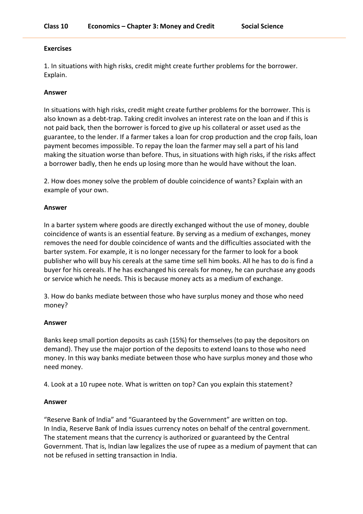## **Exercises**

1. In situations with high risks, credit might create further problems for the borrower. Explain.

# **Answer**

In situations with high risks, credit might create further problems for the borrower. This is also known as a debt-trap. Taking credit involves an interest rate on the loan and if this is not paid back, then the borrower is forced to give up his collateral or asset used as the guarantee, to the lender. If a farmer takes a loan for crop production and the crop fails, loan payment becomes impossible. To repay the loan the farmer may sell a part of his land making the situation worse than before. Thus, in situations with high risks, if the risks affect a borrower badly, then he ends up losing more than he would have without the loan.

2. How does money solve the problem of double coincidence of wants? Explain with an example of your own.

## **Answer**

In a barter system where goods are directly exchanged without the use of money, double coincidence of wants is an essential feature. By serving as a medium of exchanges, money removes the need for double coincidence of wants and the difficulties associated with the barter system. For example, it is no longer necessary for the farmer to look for a book publisher who will buy his cereals at the same time sell him books. All he has to do is find a buyer for his cereals. If he has exchanged his cereals for money, he can purchase any goods or service which he needs. This is because money acts as a medium of exchange.

3. How do banks mediate between those who have surplus money and those who need money?

# **Answer**

Banks keep small portion deposits as cash (15%) for themselves (to pay the depositors on demand). They use the major portion of the deposits to extend loans to those who need money. In this way banks mediate between those who have surplus money and those who need money.

4. Look at a 10 rupee note. What is written on top? Can you explain this statement?

# **Answer**

"Reserve Bank of India" and "Guaranteed by the Government" are written on top. In India, Reserve Bank of India issues currency notes on behalf of the central government. The statement means that the currency is authorized or guaranteed by the Central Government. That is, Indian law legalizes the use of rupee as a medium of payment that can not be refused in setting transaction in India.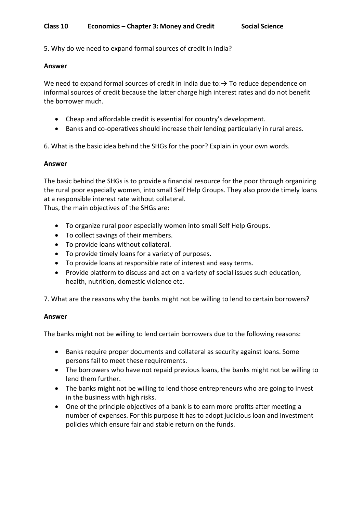5. Why do we need to expand formal sources of credit in India?

## **Answer**

We need to expand formal sources of credit in India due to: $\rightarrow$  To reduce dependence on informal sources of credit because the latter charge high interest rates and do not benefit the borrower much.

- Cheap and affordable credit is essential for country's development.
- Banks and co-operatives should increase their lending particularly in rural areas.

6. What is the basic idea behind the SHGs for the poor? Explain in your own words.

# **Answer**

The basic behind the SHGs is to provide a financial resource for the poor through organizing the rural poor especially women, into small Self Help Groups. They also provide timely loans at a responsible interest rate without collateral.

Thus, the main objectives of the SHGs are:

- To organize rural poor especially women into small Self Help Groups.
- To collect savings of their members.
- To provide loans without collateral.
- To provide timely loans for a variety of purposes.
- To provide loans at responsible rate of interest and easy terms.
- Provide platform to discuss and act on a variety of social issues such education, health, nutrition, domestic violence etc.

7. What are the reasons why the banks might not be willing to lend to certain borrowers?

# **Answer**

The banks might not be willing to lend certain borrowers due to the following reasons:

- Banks require proper documents and collateral as security against loans. Some persons fail to meet these requirements.
- The borrowers who have not repaid previous loans, the banks might not be willing to lend them further.
- The banks might not be willing to lend those entrepreneurs who are going to invest in the business with high risks.
- One of the principle objectives of a bank is to earn more profits after meeting a number of expenses. For this purpose it has to adopt judicious loan and investment policies which ensure fair and stable return on the funds.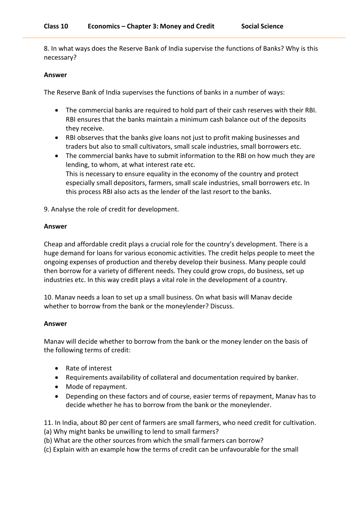8. In what ways does the Reserve Bank of India supervise the functions of Banks? Why is this necessary?

## **Answer**

The Reserve Bank of India supervises the functions of banks in a number of ways:

- The commercial banks are required to hold part of their cash reserves with their RBI. RBI ensures that the banks maintain a minimum cash balance out of the deposits they receive.
- RBI observes that the banks give loans not just to profit making businesses and traders but also to small cultivators, small scale industries, small borrowers etc.
- The commercial banks have to submit information to the RBI on how much they are lending, to whom, at what interest rate etc. This is necessary to ensure equality in the economy of the country and protect especially small depositors, farmers, small scale industries, small borrowers etc. In this process RBI also acts as the lender of the last resort to the banks.
- 9. Analyse the role of credit for development.

## **Answer**

Cheap and affordable credit plays a crucial role for the country's development. There is a huge demand for loans for various economic activities. The credit helps people to meet the ongoing expenses of production and thereby develop their business. Many people could then borrow for a variety of different needs. They could grow crops, do business, set up industries etc. In this way credit plays a vital role in the development of a country.

10. Manav needs a loan to set up a small business. On what basis will Manav decide whether to borrow from the bank or the moneylender? Discuss.

# **Answer**

Manav will decide whether to borrow from the bank or the money lender on the basis of the following terms of credit:

- Rate of interest
- Requirements availability of collateral and documentation required by banker.
- Mode of repayment.
- Depending on these factors and of course, easier terms of repayment, Manav has to decide whether he has to borrow from the bank or the moneylender.

11. In India, about 80 per cent of farmers are small farmers, who need credit for cultivation.

- (a) Why might banks be unwilling to lend to small farmers?
- (b) What are the other sources from which the small farmers can borrow?
- (c) Explain with an example how the terms of credit can be unfavourable for the small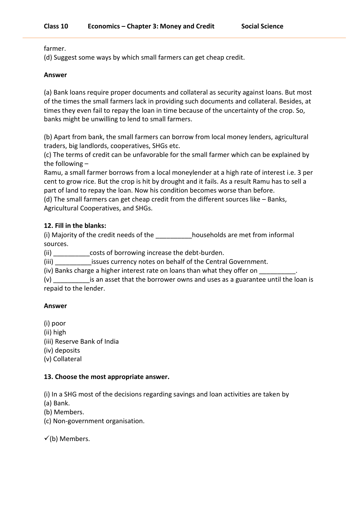farmer.

(d) Suggest some ways by which small farmers can get cheap credit.

# **Answer**

(a) Bank loans require proper documents and collateral as security against loans. But most of the times the small farmers lack in providing such documents and collateral. Besides, at times they even fail to repay the loan in time because of the uncertainty of the crop. So, banks might be unwilling to lend to small farmers.

(b) Apart from bank, the small farmers can borrow from local money lenders, agricultural traders, big landlords, cooperatives, SHGs etc.

(c) The terms of credit can be unfavorable for the small farmer which can be explained by the following  $-$ 

Ramu, a small farmer borrows from a local moneylender at a high rate of interest i.e. 3 per cent to grow rice. But the crop is hit by drought and it fails. As a result Ramu has to sell a part of land to repay the loan. Now his condition becomes worse than before.

(d) The small farmers can get cheap credit from the different sources like – Banks, Agricultural Cooperatives, and SHGs.

# **12. Fill in the blanks:**

(i) Majority of the credit needs of the \_\_\_\_\_\_\_\_\_\_households are met from informal sources.

(ii) costs of borrowing increase the debt-burden.

(iii) issues currency notes on behalf of the Central Government.

(iv) Banks charge a higher interest rate on loans than what they offer on

(v) \_\_\_\_\_\_\_\_\_\_is an asset that the borrower owns and uses as a guarantee until the loan is repaid to the lender.

# **Answer**

(i) poor (ii) high (iii) Reserve Bank of India (iv) deposits (v) Collateral

# **13. Choose the most appropriate answer.**

(i) In a SHG most of the decisions regarding savings and loan activities are taken by

(a) Bank.

(b) Members.

(c) Non-government organisation.

 $\checkmark$ (b) Members.